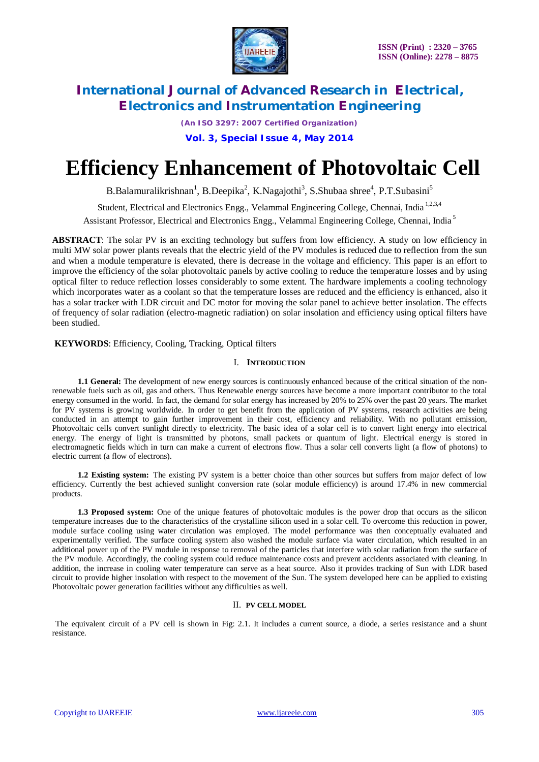

*(An ISO 3297: 2007 Certified Organization)*

### **Vol. 3, Special Issue 4, May 2014**

# **Efficiency Enhancement of Photovoltaic Cell**

B.Balamuralikrishnan<sup>1</sup>, B.Deepika<sup>2</sup>, K.Nagajothi<sup>3</sup>, S.Shubaa shree<sup>4</sup>, P.T.Subasini<sup>5</sup>

Student, Electrical and Electronics Engg., Velammal Engineering College, Chennai, India<sup>1,2,3,4</sup>

Assistant Professor, Electrical and Electronics Engg., Velammal Engineering College, Chennai, India <sup>5</sup>

**ABSTRACT**: The solar PV is an exciting technology but suffers from low efficiency. A study on low efficiency in multi MW solar power plants reveals that the electric yield of the PV modules is reduced due to reflection from the sun and when a module temperature is elevated, there is decrease in the voltage and efficiency. This paper is an effort to improve the efficiency of the solar photovoltaic panels by active cooling to reduce the temperature losses and by using optical filter to reduce reflection losses considerably to some extent. The hardware implements a cooling technology which incorporates water as a coolant so that the temperature losses are reduced and the efficiency is enhanced, also it has a solar tracker with LDR circuit and DC motor for moving the solar panel to achieve better insolation. The effects of frequency of solar radiation (electro-magnetic radiation) on solar insolation and efficiency using optical filters have been studied.

**KEYWORDS**: Efficiency, Cooling, Tracking, Optical filters

#### I. **INTRODUCTION**

**1.1 General:** The development of new energy sources is continuously enhanced because of the critical situation of the nonrenewable fuels such as oil, gas and others. Thus Renewable energy sources have become a more important contributor to the total energy consumed in the world. In fact, the demand for solar energy has increased by 20% to 25% over the past 20 years. The market for PV systems is growing worldwide. In order to get benefit from the application of PV systems, research activities are being conducted in an attempt to gain further improvement in their cost, efficiency and reliability. With no pollutant emission, Photovoltaic cells convert sunlight directly to electricity. The basic idea of a solar cell is to convert light energy into electrical energy. The energy of light is transmitted by photons, small packets or quantum of light. Electrical energy is stored in electromagnetic fields which in turn can make a current of electrons flow. Thus a solar cell converts light (a flow of photons) to electric current (a flow of electrons).

**1.2 Existing system:** The existing PV system is a better choice than other sources but suffers from major defect of low efficiency. Currently the best achieved sunlight conversion rate (solar module efficiency) is around 17.4% in new commercial products.

**1.3 Proposed system:** One of the unique features of photovoltaic modules is the power drop that occurs as the silicon temperature increases due to the characteristics of the crystalline silicon used in a solar cell. To overcome this reduction in power, module surface cooling using water circulation was employed. The model performance was then conceptually evaluated and experimentally verified. The surface cooling system also washed the module surface via water circulation, which resulted in an additional power up of the PV module in response to removal of the particles that interfere with solar radiation from the surface of the PV module. Accordingly, the cooling system could reduce maintenance costs and prevent accidents associated with cleaning. In addition, the increase in cooling water temperature can serve as a heat source. Also it provides tracking of Sun with LDR based circuit to provide higher insolation with respect to the movement of the Sun. The system developed here can be applied to existing Photovoltaic power generation facilities without any difficulties as well.

#### II. **PV CELL MODEL**

The equivalent circuit of a PV cell is shown in Fig: 2.1. It includes a current source, a diode, a series resistance and a shunt resistance.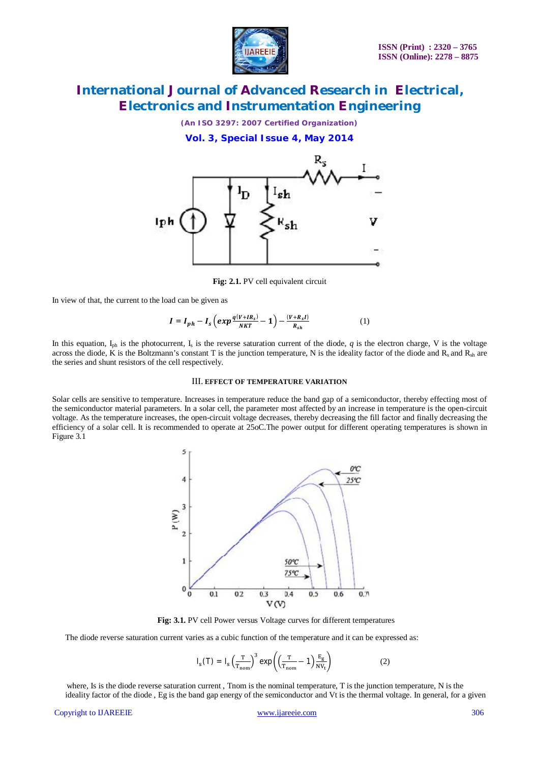

*(An ISO 3297: 2007 Certified Organization)*

**Vol. 3, Special Issue 4, May 2014**



**Fig: 2.1.** PV cell equivalent circuit

In view of that, the current to the load can be given as

$$
I = I_{ph} - I_s \left( exp \frac{q(V+IR_s)}{NKT} - 1 \right) - \frac{(V+R_sI)}{R_{sh}} \tag{1}
$$

In this equation,  $I_{ph}$  is the photocurrent,  $I_s$  is the reverse saturation current of the diode, *q* is the electron charge, V is the voltage across the diode, K is the Boltzmann's constant T is the junction temperature, N is the ideality factor of the diode and  $R_{\rm sh}$  are the series and shunt resistors of the cell respectively.

#### III. **EFFECT OF TEMPERATURE VARIATION**

Solar cells are sensitive to temperature. Increases in temperature reduce the band gap of a semiconductor, thereby effecting most of the semiconductor material parameters. In a solar cell, the parameter most affected by an increase in temperature is the open-circuit voltage. As the temperature increases, the open-circuit voltage decreases, thereby decreasing the fill factor and finally decreasing the efficiency of a solar cell. It is recommended to operate at 25oC.The power output for different operating temperatures is shown in Figure 3.1



**Fig: 3.1.** PV cell Power versus Voltage curves for different temperatures

The diode reverse saturation current varies as a cubic function of the temperature and it can be expressed as:

$$
I_{s}(T) = I_{s} \left(\frac{T}{T_{\text{nom}}}\right)^{3} \exp\left(\left(\frac{T}{T_{\text{nom}}}-1\right) \frac{E_{g}}{NV_{t}}\right)
$$
 (2)

where, Is is the diode reverse saturation current, Thom is the nominal temperature, T is the junction temperature, N is the ideality factor of the diode , Eg is the band gap energy of the semiconductor and Vt is the thermal voltage. In general, for a given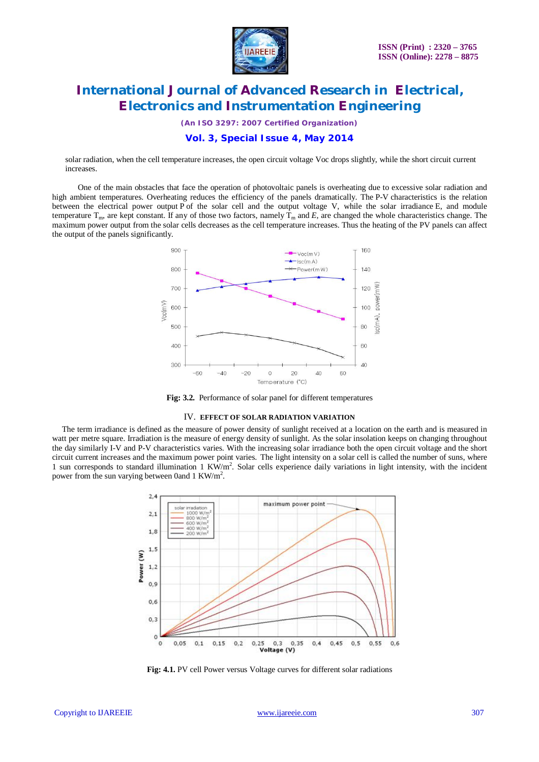

*(An ISO 3297: 2007 Certified Organization)*

### **Vol. 3, Special Issue 4, May 2014**

solar radiation, when the cell temperature increases, the open circuit voltage Voc drops slightly, while the short circuit current increases.

One of the main obstacles that face the operation of photovoltaic panels is overheating due to excessive solar radiation and high ambient temperatures. Overheating reduces the efficiency of the panels dramatically. The P-V characteristics is the relation between the electrical power output P of the solar cell and the output voltage V, while the solar irradiance E, and module temperature  $T_m$ , are kept constant. If any of those two factors, namely  $T_m$  and E, are changed the whole characteristics change. The maximum power output from the solar cells decreases as the cell temperature increases. Thus the heating of the PV panels can affect the output of the panels significantly.



**Fig: 3.2.** Performance of solar panel for different temperatures

#### IV. **EFFECT OF SOLAR RADIATION VARIATION**

The term irradiance is defined as the measure of power density of sunlight received at a location on the earth and is measured in watt per metre square. Irradiation is the measure of energy density of sunlight. As the solar insolation keeps on changing throughout the day similarly I-V and P-V characteristics varies. With the increasing solar irradiance both the open circuit voltage and the short circuit current increases and the maximum power point varies. The light intensity on a solar cell is called the number of suns, where 1 sun corresponds to standard illumination 1 KW/m<sup>2</sup>. Solar cells experience daily variations in light intensity, with the incident power from the sun varying between 0and 1 KW/m<sup>2</sup>.



**Fig: 4.1.** PV cell Power versus Voltage curves for different solar radiations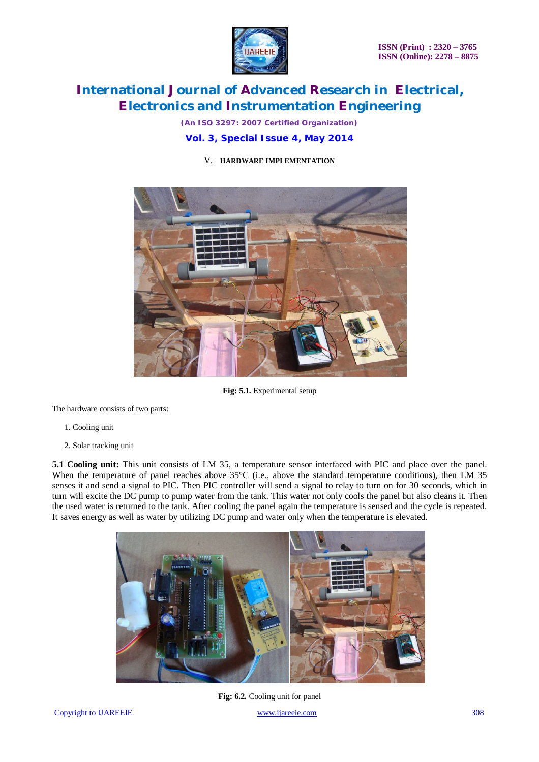

*(An ISO 3297: 2007 Certified Organization)*

### **Vol. 3, Special Issue 4, May 2014**

### V. **HARDWARE IMPLEMENTATION**



**Fig: 5.1.** Experimental setup

The hardware consists of two parts:

- 1. Cooling unit
- 2. Solar tracking unit

**5.1 Cooling unit:** This unit consists of LM 35, a temperature sensor interfaced with PIC and place over the panel. When the temperature of panel reaches above  $35^{\circ}$ C (i.e., above the standard temperature conditions), then LM 35 senses it and send a signal to PIC. Then PIC controller will send a signal to relay to turn on for 30 seconds, which in turn will excite the DC pump to pump water from the tank. This water not only cools the panel but also cleans it. Then the used water is returned to the tank. After cooling the panel again the temperature is sensed and the cycle is repeated. It saves energy as well as water by utilizing DC pump and water only when the temperature is elevated.



Fig: 6.2. Cooling unit for panel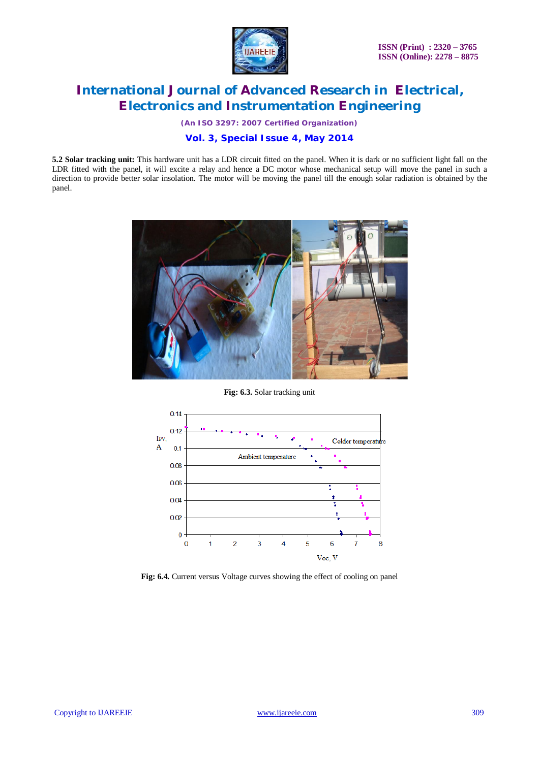

*(An ISO 3297: 2007 Certified Organization)*

### **Vol. 3, Special Issue 4, May 2014**

**5.2 Solar tracking unit:** This hardware unit has a LDR circuit fitted on the panel. When it is dark or no sufficient light fall on the LDR fitted with the panel, it will excite a relay and hence a DC motor whose mechanical setup will move the panel in such a direction to provide better solar insolation. The motor will be moving the panel till the enough solar radiation is obtained by the panel.



**Fig: 6.3.** Solar tracking unit



**Fig: 6.4.** Current versus Voltage curves showing the effect of cooling on panel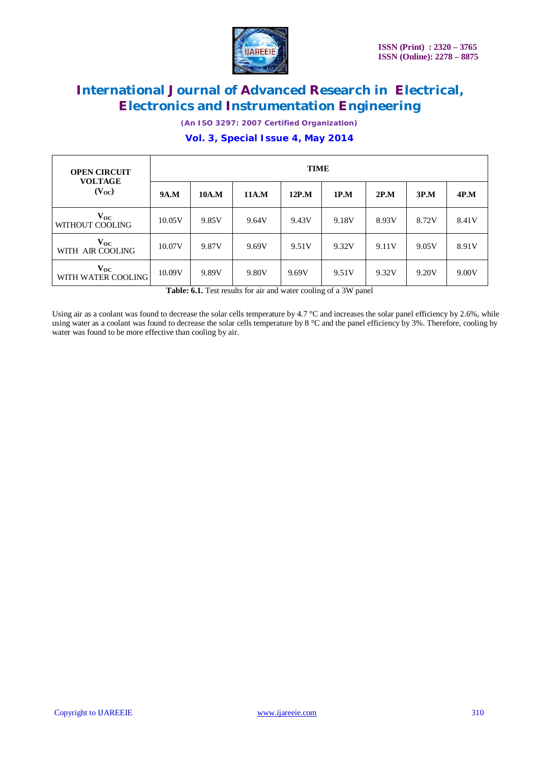

*(An ISO 3297: 2007 Certified Organization)*

### **Vol. 3, Special Issue 4, May 2014**

| <b>OPEN CIRCUIT</b><br><b>VOLTAGE</b><br>$(V_{OC})$ | <b>TIME</b> |       |       |       |       |       |       |       |
|-----------------------------------------------------|-------------|-------|-------|-------|-------|-------|-------|-------|
|                                                     | 9A.M        | 10A.M | 11A.M | 12P.M | 1P.M  | 2P.M  | 3P.M  | 4P.M  |
| $\mathbf{v_{oc}}$<br>WITHOUT COOLING                | 10.05V      | 9.85V | 9.64V | 9.43V | 9.18V | 8.93V | 8.72V | 8.41V |
| $\mathbf{v_{oc}}$<br>WITH AIR COOLING               | 10.07V      | 9.87V | 9.69V | 9.51V | 9.32V | 9.11V | 9.05V | 8.91V |
| $\mathbf{V_{OC}}$<br>WITH WATER COOLING             | 10.09V      | 9.89V | 9.80V | 9.69V | 9.51V | 9.32V | 9.20V | 9.00V |

Table: 6.1. Test results for air and water cooling of a 3W panel

Using air as a coolant was found to decrease the solar cells temperature by 4.7 °C and increases the solar panel efficiency by 2.6%, while using water as a coolant was found to decrease the solar cells temperature by 8 °C and the panel efficiency by 3%. Therefore, cooling by water was found to be more effective than cooling by air.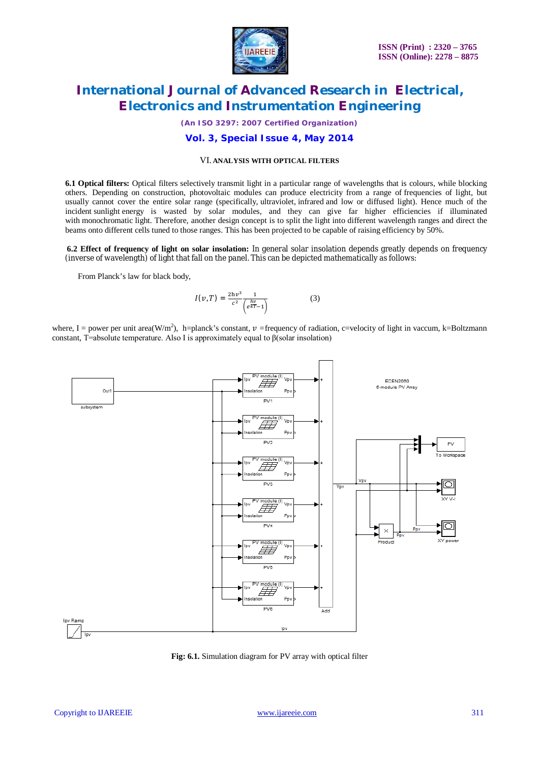

*(An ISO 3297: 2007 Certified Organization)*

### **Vol. 3, Special Issue 4, May 2014**

#### VI. **ANALYSIS WITH OPTICAL FILTERS**

**6.1 Optical filters:** Optical filters selectively transmit light in a particular range of wavelengths that is colours, while blocking others. Depending on construction, photovoltaic modules can produce electricity from a range of frequencies of light, but usually cannot cover the entire solar range (specifically, ultraviolet, infrared and low or diffused light). Hence much of the incident sunlight energy is wasted by solar modules, and they can give far higher efficiencies if illuminated with monochromatic light. Therefore, another design concept is to split the light into different wavelength ranges and direct the beams onto different cells tuned to those ranges. This has been projected to be capable of raising efficiency by 50%.

**6.2 Effect of frequency of light on solar insolation:** In general solar insolation depends greatly depends on frequency (inverse of wavelength) of light that fall on the panel. This can be depicted mathematically as follows:

From Planck's law for black body,

$$
I(v,T) = \frac{2hv^3}{c^2} \frac{1}{\left(e^{\frac{hv}{kT}} - 1\right)}
$$
(3)

where, I = power per unit area(W/m<sup>2</sup>), h=planck's constant,  $v$  =frequency of radiation, c=velocity of light in vaccum, k=Boltzmann constant, T=absolute temperature. Also I is approximately equal to β(solar insolation)



**Fig: 6.1.** Simulation diagram for PV array with optical filter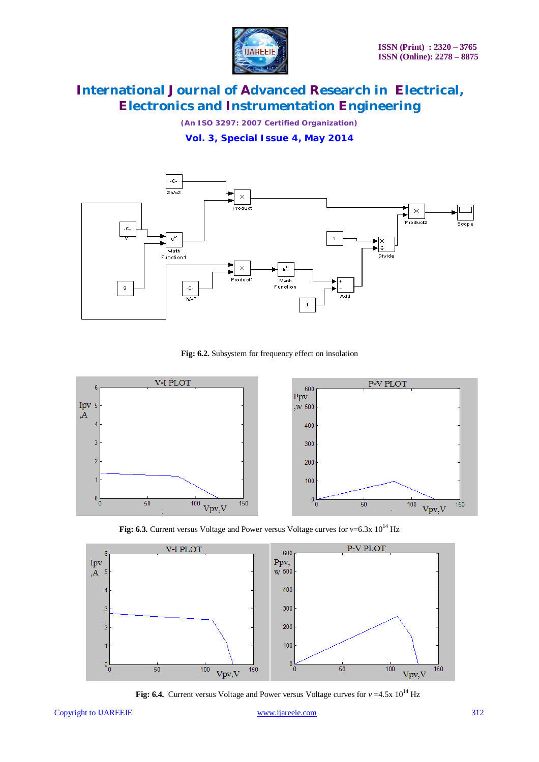

*(An ISO 3297: 2007 Certified Organization)*

**Vol. 3, Special Issue 4, May 2014**



**Fig: 6.2.** Subsystem for frequency effect on insolation